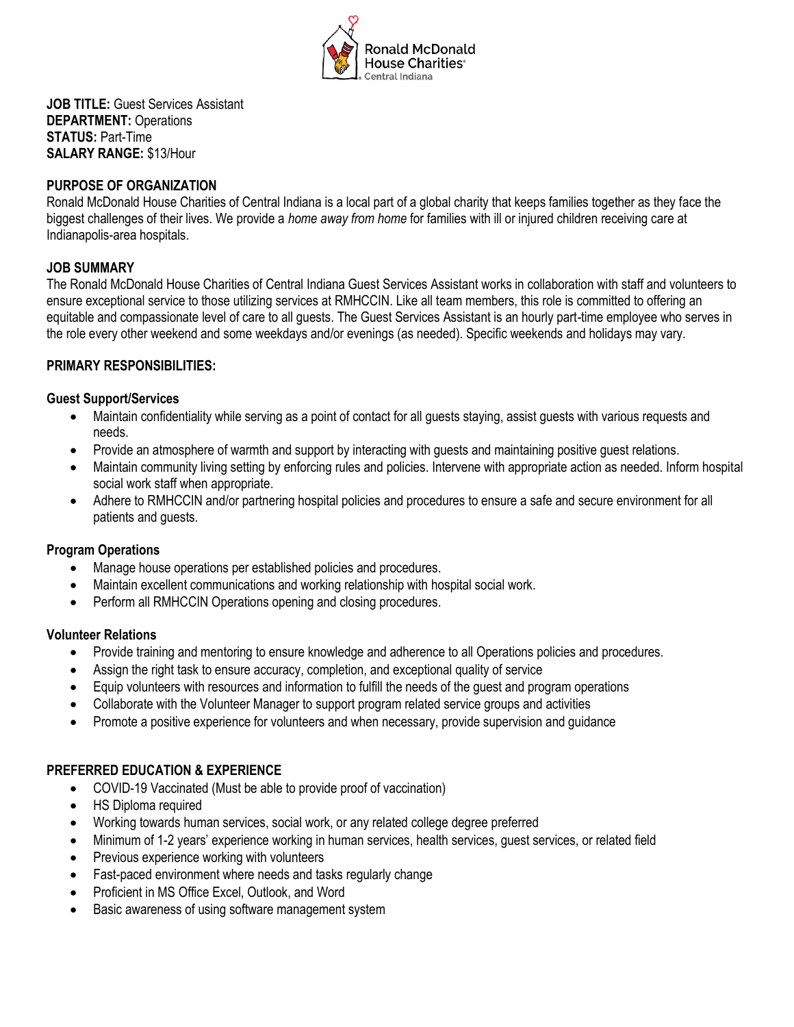

**JOB TITLE:** Guest Services Assistant **DEPARTMENT:** Operations **STATUS:** Part-Time **SALARY RANGE:** \$13/Hour

### **PURPOSE OF ORGANIZATION**

Ronald McDonald House Charities of Central Indiana is a local part of a global charity that keeps families together as they face the biggest challenges of their lives. We provide a *home away from home* for families with ill or injured children receiving care at Indianapolis-area hospitals.

# **JOB SUMMARY**

The Ronald McDonald House Charities of Central Indiana Guest Services Assistant works in collaboration with staff and volunteers to ensure exceptional service to those utilizing services at RMHCCIN. Like all team members, this role is committed to offering an equitable and compassionate level of care to all guests. The Guest Services Assistant is an hourly part-time employee who serves in the role every other weekend and some weekdays and/or evenings (as needed). Specific weekends and holidays may vary.

## **PRIMARY RESPONSIBILITIES:**

#### **Guest Support/Services**

- Maintain confidentiality while serving as a point of contact for all guests staying, assist guests with various requests and needs.
- Provide an atmosphere of warmth and support by interacting with guests and maintaining positive guest relations.
- Maintain community living setting by enforcing rules and policies. Intervene with appropriate action as needed. Inform hospital social work staff when appropriate.
- Adhere to RMHCCIN and/or partnering hospital policies and procedures to ensure a safe and secure environment for all patients and guests.

#### **Program Operations**

- Manage house operations per established policies and procedures.
- Maintain excellent communications and working relationship with hospital social work.
- Perform all RMHCCIN Operations opening and closing procedures.

#### **Volunteer Relations**

- Provide training and mentoring to ensure knowledge and adherence to all Operations policies and procedures.
- Assign the right task to ensure accuracy, completion, and exceptional quality of service
- Equip volunteers with resources and information to fulfill the needs of the guest and program operations
- Collaborate with the Volunteer Manager to support program related service groups and activities
- Promote a positive experience for volunteers and when necessary, provide supervision and guidance

#### **PREFERRED EDUCATION & EXPERIENCE**

- COVID-19 Vaccinated (Must be able to provide proof of vaccination)
- HS Diploma required
- Working towards human services, social work, or any related college degree preferred
- Minimum of 1-2 years' experience working in human services, health services, guest services, or related field
- Previous experience working with volunteers
- Fast-paced environment where needs and tasks regularly change
- Proficient in MS Office Excel, Outlook, and Word
- Basic awareness of using software management system